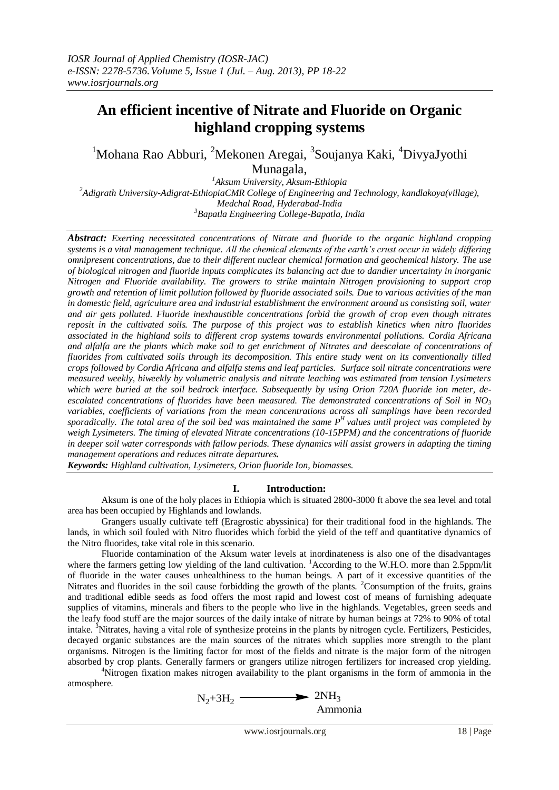# **An efficient incentive of Nitrate and Fluoride on Organic highland cropping systems**

<sup>1</sup>Mohana Rao Abburi, <sup>2</sup>Mekonen Aregai, <sup>3</sup>Soujanya Kaki, <sup>4</sup>DivyaJyothi

Munagala,

*Aksum University, Aksum-Ethiopia Adigrath University-Adigrat-EthiopiaCMR College of Engineering and Technology, kandlakoya(village), Medchal Road, Hyderabad-India Bapatla Engineering College-Bapatla, India*

*Abstract: Exerting necessitated concentrations of Nitrate and fluoride to the organic highland cropping systems is a vital management technique. All the chemical elements of the earth's crust occur in widely differing omnipresent concentrations, due to their different nuclear chemical formation and geochemical history. The use of biological nitrogen and fluoride inputs complicates its balancing act due to dandier uncertainty in inorganic Nitrogen and Fluoride availability. The growers to strike maintain Nitrogen provisioning to support crop growth and retention of limit pollution followed by fluoride associated soils. Due to various activities of the man in domestic field, agriculture area and industrial establishment the environment around us consisting soil, water and air gets polluted. Fluoride inexhaustible concentrations forbid the growth of crop even though nitrates reposit in the cultivated soils. The purpose of this project was to establish kinetics when nitro fluorides associated in the highland soils to different crop systems towards environmental pollutions. Cordia Africana and alfalfa are the plants which make soil to get enrichment of Nitrates and deescalate of concentrations of fluorides from cultivated soils through its decomposition. This entire study went on its conventionally tilled crops followed by Cordia Africana and alfalfa stems and leaf particles. Surface soil nitrate concentrations were measured weekly, biweekly by volumetric analysis and nitrate leaching was estimated from tension Lysimeters which were buried at the soil bedrock interface. Subsequently by using Orion 720A fluoride ion meter, deescalated concentrations of fluorides have been measured. The demonstrated concentrations of Soil in NO<sup>3</sup> variables, coefficients of variations from the mean concentrations across all samplings have been recorded sporadically. The total area of the soil bed was maintained the same P <sup>H</sup>values until project was completed by weigh Lysimeters. The timing of elevated Nitrate concentrations (10-15PPM) and the concentrations of fluoride*  in deeper soil water corresponds with fallow periods. These dynamics will assist growers in adapting the timing *management operations and reduces nitrate departures.* 

*Keywords: Highland cultivation, Lysimeters, Orion fluoride Ion, biomasses.* 

## **I. Introduction:**

Aksum is one of the holy places in Ethiopia which is situated 2800-3000 ft above the sea level and total area has been occupied by Highlands and lowlands.

Grangers usually cultivate teff (Eragrostic abyssinica) for their traditional food in the highlands. The lands, in which soil fouled with Nitro fluorides which forbid the yield of the teff and quantitative dynamics of the Nitro fluorides, take vital role in this scenario.

Fluoride contamination of the Aksum water levels at inordinateness is also one of the disadvantages where the farmers getting low yielding of the land cultivation. <sup>1</sup>According to the W.H.O. more than 2.5ppm/lit of fluoride in the water causes unhealthiness to the human beings. A part of it excessive quantities of the Nitrates and fluorides in the soil cause forbidding the growth of the plants. <sup>2</sup>Consumption of the fruits, grains and traditional edible seeds as food offers the most rapid and lowest cost of means of furnishing adequate supplies of vitamins, minerals and fibers to the people who live in the highlands. Vegetables, green seeds and the leafy food stuff are the major sources of the daily intake of nitrate by human beings at 72% to 90% of total intake. <sup>3</sup>Nitrates, having a vital role of synthesize proteins in the plants by nitrogen cycle. Fertilizers, Pesticides, decayed organic substances are the main sources of the nitrates which supplies more strength to the plant organisms. Nitrogen is the limiting factor for most of the fields and nitrate is the major form of the nitrogen absorbed by crop plants. Generally farmers or grangers utilize nitrogen fertilizers for increased crop yielding.

<sup>4</sup>Nitrogen fixation makes nitrogen availability to the plant organisms in the form of ammonia in the atmosphere.

> $N_2 + 3H_2$  $-2NH<sub>3</sub>$ Ammonia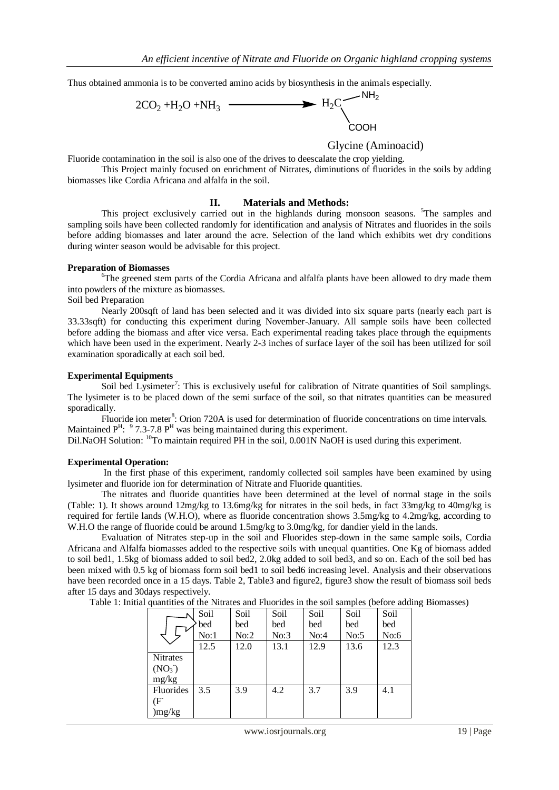Thus obtained ammonia is to be converted amino acids by biosynthesis in the animals especially.



## Glycine (Aminoacid)

Fluoride contamination in the soil is also one of the drives to deescalate the crop yielding.

This Project mainly focused on enrichment of Nitrates, diminutions of fluorides in the soils by adding biomasses like Cordia Africana and alfalfa in the soil.

### **II. Materials and Methods:**

This project exclusively carried out in the highlands during monsoon seasons. <sup>5</sup>The samples and sampling soils have been collected randomly for identification and analysis of Nitrates and fluorides in the soils before adding biomasses and later around the acre. Selection of the land which exhibits wet dry conditions during winter season would be advisable for this project.

#### **Preparation of Biomasses**

<sup>6</sup>The greened stem parts of the Cordia Africana and alfalfa plants have been allowed to dry made them into powders of the mixture as biomasses. Soil bed Preparation

Nearly 200sqft of land has been selected and it was divided into six square parts (nearly each part is 33.33sqft) for conducting this experiment during November-January. All sample soils have been collected before adding the biomass and after vice versa. Each experimental reading takes place through the equipments which have been used in the experiment. Nearly 2-3 inches of surface layer of the soil has been utilized for soil examination sporadically at each soil bed.

#### **Experimental Equipments**

Soil bed Lysimeter<sup>7</sup>: This is exclusively useful for calibration of Nitrate quantities of Soil samplings. The lysimeter is to be placed down of the semi surface of the soil, so that nitrates quantities can be measured sporadically.

Fluoride ion meter<sup>8</sup>: Orion 720A is used for determination of fluoride concentrations on time intervals. Maintained  $P^H$ :  $\frac{9}{7.3}$ -7.8  $P^H$  was being maintained during this experiment.

Dil.NaOH Solution: <sup>10</sup>To maintain required PH in the soil, 0.001N NaOH is used during this experiment.

#### **Experimental Operation:**

In the first phase of this experiment, randomly collected soil samples have been examined by using lysimeter and fluoride ion for determination of Nitrate and Fluoride quantities.

The nitrates and fluoride quantities have been determined at the level of normal stage in the soils (Table: 1). It shows around 12mg/kg to 13.6mg/kg for nitrates in the soil beds, in fact 33mg/kg to 40mg/kg is required for fertile lands (W.H.O), where as fluoride concentration shows 3.5mg/kg to 4.2mg/kg, according to W.H.O the range of fluoride could be around 1.5mg/kg to 3.0mg/kg, for dandier yield in the lands.

Evaluation of Nitrates step-up in the soil and Fluorides step-down in the same sample soils, Cordia Africana and Alfalfa biomasses added to the respective soils with unequal quantities. One Kg of biomass added to soil bed1, 1.5kg of biomass added to soil bed2, 2.0kg added to soil bed3, and so on. Each of the soil bed has been mixed with 0.5 kg of biomass form soil bed1 to soil bed6 increasing level. Analysis and their observations have been recorded once in a 15 days. Table 2, Table3 and figure2, figure3 show the result of biomass soil beds after 15 days and 30days respectively.

Table 1: Initial quantities of the Nitrates and Fluorides in the soil samples (before adding Biomasses)

|                                                                                                                                                        | Soil<br>bed | Soil<br>bed | Soil<br>bed | Soil<br>bed | Soil<br>bed | Soil<br>bed |
|--------------------------------------------------------------------------------------------------------------------------------------------------------|-------------|-------------|-------------|-------------|-------------|-------------|
|                                                                                                                                                        | No:1        | No:2        | No:3        | No:4        | No:5        | No:6        |
|                                                                                                                                                        | 12.5        | 12.0        | 13.1        | 12.9        | 13.6        | 12.3        |
| <b>Nitrates</b><br>(NO <sub>3</sub> )<br>mg/kg                                                                                                         |             |             |             |             |             |             |
| Fluorides<br>$(\mathrm{F}% _{H}^{\ast})^{\ast}=\mathrm{Tr}_{H}(\mathrm{F}_{H}^{\ast})^{\ast}=\mathrm{Tr}_{H}(\mathrm{F}_{H}^{\ast})^{\ast}%$<br>)mg/kg | 3.5         | 3.9         | 4.2         | 3.7         | 3.9         | 4.1         |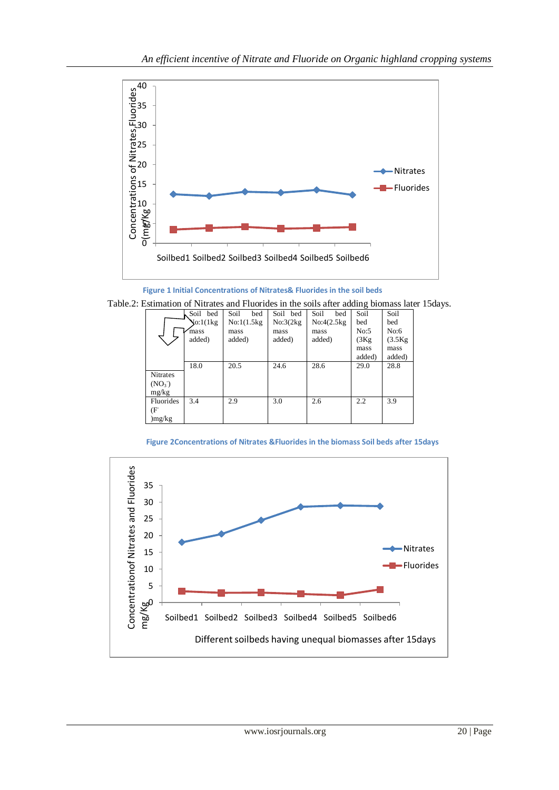

**Figure 1 Initial Concentrations of Nitrates& Fluorides in the soil beds**

Table.2: Estimation of Nitrates and Fluorides in the soils after adding biomass later 15days.

|                                         | Soil bed<br>$\text{So:}1(1\text{kg})$<br>mass<br>added) | Soil<br>bed<br>No:1(1.5kg)<br>mass<br>added) | Soil bed<br>No:3(2kg)<br>mass<br>added) | Soil<br>bed<br>No:4(2.5kg)<br>mass<br>added) | Soil<br>bed<br>No:5<br>(3Kg)<br>mass | Soil<br>bed<br>No:6<br>(3.5Kg)<br>mass |
|-----------------------------------------|---------------------------------------------------------|----------------------------------------------|-----------------------------------------|----------------------------------------------|--------------------------------------|----------------------------------------|
| Nitrates<br>(NO <sub>3</sub> )<br>mg/kg | 18.0                                                    | 20.5                                         | 24.6                                    | 28.6                                         | added)<br>29.0                       | added)<br>28.8                         |
| Fluorides<br>(F<br>)mg/kg               | 3.4                                                     | 2.9                                          | 3.0                                     | 2.6                                          | 2.2                                  | 3.9                                    |

**Figure 2Concentrations of Nitrates &Fluorides in the biomass Soil beds after 15days**

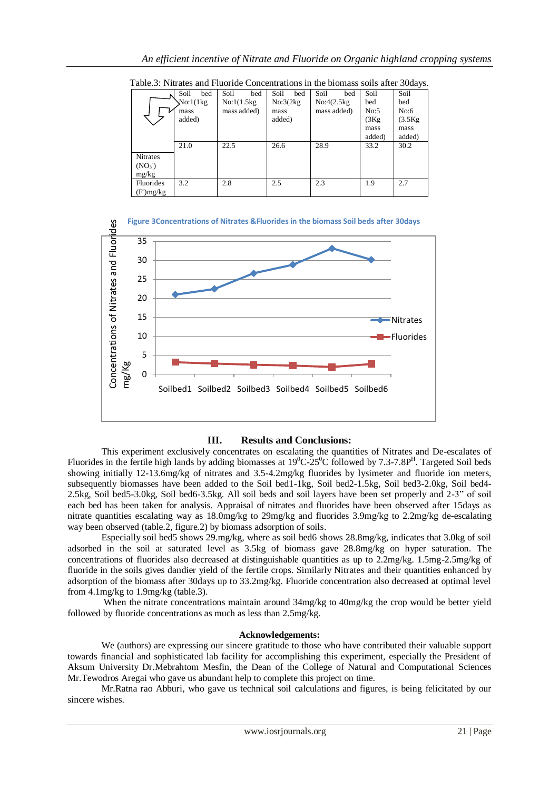|                    | Soil<br>bed | Soil<br>bed | Soil<br>bed | Soil<br>bed | Soil   | Soil    |
|--------------------|-------------|-------------|-------------|-------------|--------|---------|
| No:1(1kg)          |             | No:1(1.5kg) | No:3(2kg)   | No:4(2.5kg) | bed    | bed     |
|                    | mass        | mass added) | mass        | mass added) | No:5   | No:6    |
|                    | added)      |             | added)      |             | (3Kg)  | (3.5Kg) |
|                    |             |             |             |             | mass   | mass    |
|                    |             |             |             |             | added) | added)  |
|                    | 21.0        | 22.5        | 26.6        | 28.9        | 33.2   | 30.2    |
| Nitrates           |             |             |             |             |        |         |
| (NO <sub>3</sub> ) |             |             |             |             |        |         |
| mg/kg              |             |             |             |             |        |         |
| Fluorides          | 3.2         | 2.8         | 2.5         | 2.3         | 1.9    | 2.7     |
| $(F)$ mg/kg        |             |             |             |             |        |         |

Table.3: Nitrates and Fluoride Concentrations in the biomass soils after 30days.



## **III. Results and Conclusions:**

This experiment exclusively concentrates on escalating the quantities of Nitrates and De-escalates of Fluorides in the fertile high lands by adding biomasses at  $19^0C-25^0C$  followed by 7.3-7.8P<sup>H</sup>. Targeted Soil beds showing initially 12-13.6mg/kg of nitrates and 3.5-4.2mg/kg fluorides by lysimeter and fluoride ion meters, subsequently biomasses have been added to the Soil bed1-1kg, Soil bed2-1.5kg, Soil bed3-2.0kg, Soil bed4-2.5kg, Soil bed5-3.0kg, Soil bed6-3.5kg. All soil beds and soil layers have been set properly and 2-3" of soil each bed has been taken for analysis. Appraisal of nitrates and fluorides have been observed after 15days as nitrate quantities escalating way as 18.0mg/kg to 29mg/kg and fluorides 3.9mg/kg to 2.2mg/kg de-escalating way been observed (table.2, figure.2) by biomass adsorption of soils.

Especially soil bed5 shows 29.mg/kg, where as soil bed6 shows 28.8mg/kg, indicates that 3.0kg of soil adsorbed in the soil at saturated level as 3.5kg of biomass gave 28.8mg/kg on hyper saturation. The concentrations of fluorides also decreased at distinguishable quantities as up to 2.2mg/kg. 1.5mg-2.5mg/kg of fluoride in the soils gives dandier yield of the fertile crops. Similarly Nitrates and their quantities enhanced by adsorption of the biomass after 30days up to 33.2mg/kg. Fluoride concentration also decreased at optimal level from 4.1mg/kg to 1.9mg/kg (table.3).

When the nitrate concentrations maintain around  $34mg/kg$  to  $40mg/kg$  the crop would be better yield followed by fluoride concentrations as much as less than 2.5mg/kg.

#### **Acknowledgements:**

We (authors) are expressing our sincere gratitude to those who have contributed their valuable support towards financial and sophisticated lab facility for accomplishing this experiment, especially the President of Aksum University Dr.Mebrahtom Mesfin, the Dean of the College of Natural and Computational Sciences Mr.Tewodros Aregai who gave us abundant help to complete this project on time.

Mr.Ratna rao Abburi, who gave us technical soil calculations and figures, is being felicitated by our sincere wishes.